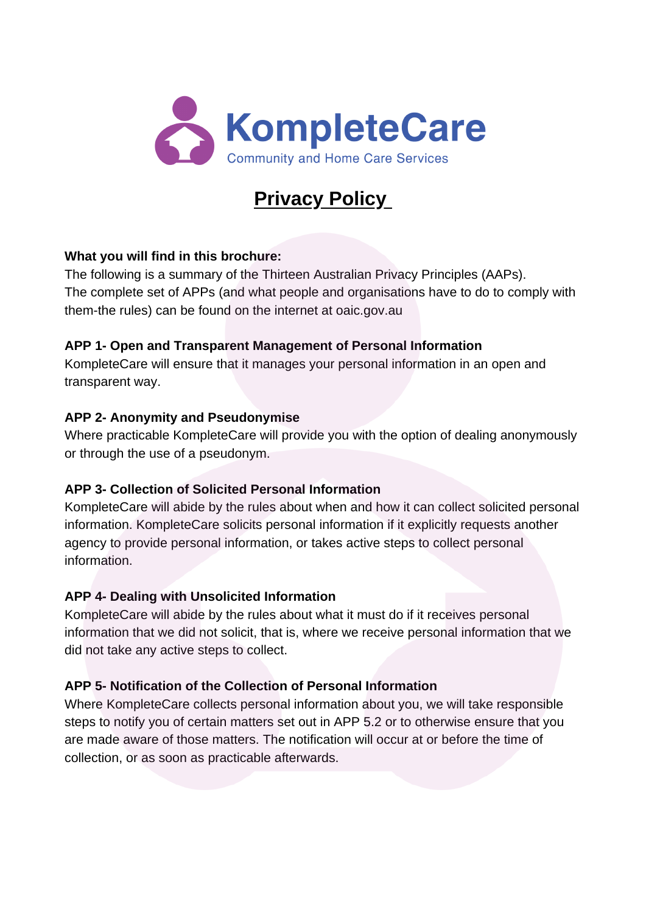

# **Privacy Policy**

## **What you will find in this brochure:**

The following is a summary of the Thirteen Australian Privacy Principles (AAPs). The complete set of APPs (and what people and organisations have to do to comply with them-the rules) can be found on the internet at oaic.gov.au

## **APP 1- Open and Transparent Management of Personal Information**

KompleteCare will ensure that it manages your personal information in an open and transparent way.

## **APP 2- Anonymity and Pseudonymise**

Where practicable KompleteCare will provide you with the option of dealing anonymously or through the use of a pseudonym.

# **APP 3- Collection of Solicited Personal Information**

KompleteCare will abide by the rules about when and how it can collect solicited personal information. KompleteCare solicits personal information if it explicitly requests another agency to provide personal information, or takes active steps to collect personal information.

# **APP 4- Dealing with Unsolicited Information**

KompleteCare will abide by the rules about what it must do if it receives personal information that we did not solicit, that is, where we receive personal information that we did not take any active steps to collect.

# **APP 5- Notification of the Collection of Personal Information**

Where KompleteCare collects personal information about you, we will take responsible steps to notify you of certain matters set out in APP 5.2 or to otherwise ensure that you are made aware of those matters. The notification will occur at or before the time of collection, or as soon as practicable afterwards.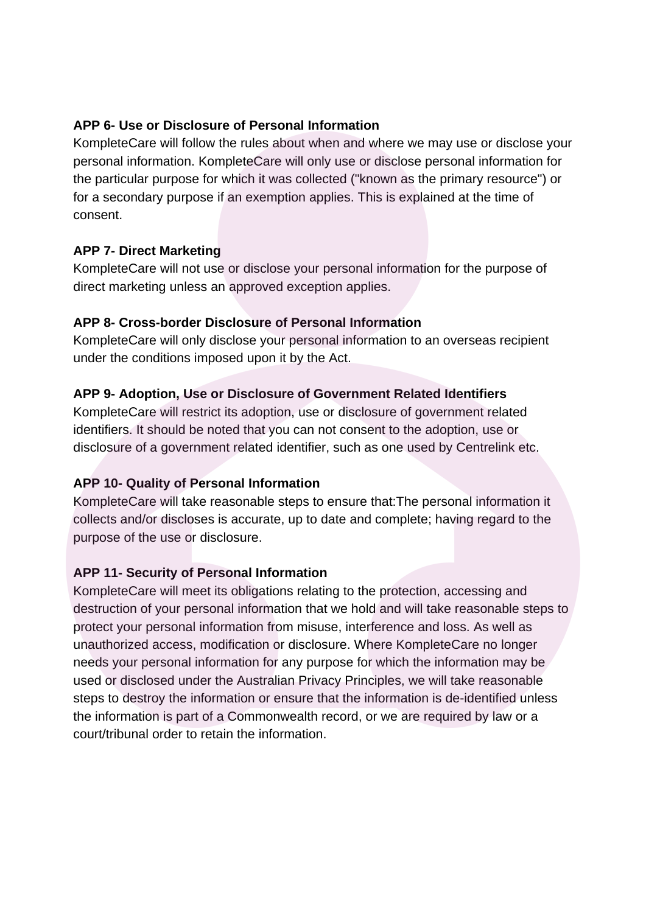#### **APP 6- Use or Disclosure of Personal Information**

KompleteCare will follow the rules about when and where we may use or disclose your personal information. KompleteCare will only use or disclose personal information for the particular purpose for which it was collected ("known as the primary resource") or for a secondary purpose if an exemption applies. This is explained at the time of consent.

## **APP 7- Direct Marketing**

KompleteCare will not use or disclose your personal information for the purpose of direct marketing unless an approved exception applies.

## **APP 8- Cross-border Disclosure of Personal Information**

KompleteCare will only disclose your personal information to an overseas recipient under the conditions imposed upon it by the Act.

## **APP 9- Adoption, Use or Disclosure of Government Related Identifiers**

KompleteCare will restrict its adoption, use or disclosure of government related identifiers. It should be noted that you can not consent to the adoption, use or disclosure of a government related identifier, such as one used by Centrelink etc.

# **APP 10- Quality of Personal Information**

KompleteCare will take reasonable steps to ensure that: The personal information it collects and/or discloses is accurate, up to date and complete; having regard to the purpose of the use or disclosure.

# **APP 11- Security of Personal Information**

KompleteCare will meet its obligations relating to the protection, accessing and destruction of your personal information that we hold and will take reasonable steps to protect your personal information from misuse, interference and loss. As well as unauthorized access, modification or disclosure. Where KompleteCare no longer needs your personal information for any purpose for which the information may be used or disclosed under the Australian Privacy Principles, we will take reasonable steps to destroy the information or ensure that the information is de-identified unless the information is part of a Commonwealth record, or we are required by law or a court/tribunal order to retain the information.